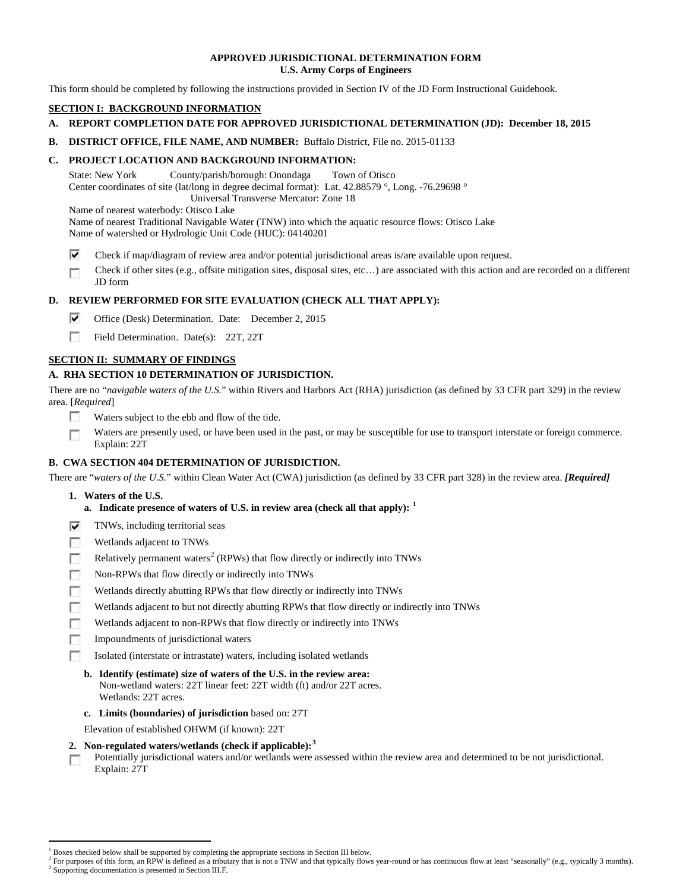## **APPROVED JURISDICTIONAL DETERMINATION FORM U.S. Army Corps of Engineers**

This form should be completed by following the instructions provided in Section IV of the JD Form Instructional Guidebook.

# **SECTION I: BACKGROUND INFORMATION**

# **A. REPORT COMPLETION DATE FOR APPROVED JURISDICTIONAL DETERMINATION (JD): December 18, 2015**

**B. DISTRICT OFFICE, FILE NAME, AND NUMBER:** Buffalo District, File no. 2015-01133

# **C. PROJECT LOCATION AND BACKGROUND INFORMATION:**

State: New York County/parish/borough: Onondaga Town of Otisco Center coordinates of site (lat/long in degree decimal format): Lat. 42.88579 °, Long. -76.29698 ° Universal Transverse Mercator: Zone 18

Name of nearest waterbody: Otisco Lake

- Name of nearest Traditional Navigable Water (TNW) into which the aquatic resource flows: Otisco Lake Name of watershed or Hydrologic Unit Code (HUC): 04140201
- ⊽ Check if map/diagram of review area and/or potential jurisdictional areas is/are available upon request.
- Check if other sites (e.g., offsite mitigation sites, disposal sites, etc…) are associated with this action and are recorded on a different г JD form

# **D. REVIEW PERFORMED FOR SITE EVALUATION (CHECK ALL THAT APPLY):**

- ⊽ Office (Desk) Determination. Date: December 2, 2015
- $\Box$ Field Determination. Date(s): 22T, 22T

# **SECTION II: SUMMARY OF FINDINGS**

# **A. RHA SECTION 10 DETERMINATION OF JURISDICTION.**

There are no "*navigable waters of the U.S.*" within Rivers and Harbors Act (RHA) jurisdiction (as defined by 33 CFR part 329) in the review area. [*Required*]

- п Waters subject to the ebb and flow of the tide.
- Waters are presently used, or have been used in the past, or may be susceptible for use to transport interstate or foreign commerce. 下 Explain: 22T

# **B. CWA SECTION 404 DETERMINATION OF JURISDICTION.**

There are "*waters of the U.S.*" within Clean Water Act (CWA) jurisdiction (as defined by 33 CFR part 328) in the review area. *[Required]*

- **1. Waters of the U.S.**
	- **a. Indicate presence of waters of U.S. in review area (check all that apply): [1](#page-0-0)**
- ⊽ TNWs, including territorial seas
- Wetlands adjacent to TNWs n
- Relatively permanent waters<sup>[2](#page-0-1)</sup> (RPWs) that flow directly or indirectly into TNWs г
- **In** Non-RPWs that flow directly or indirectly into TNWs
- п Wetlands directly abutting RPWs that flow directly or indirectly into TNWs
- Wetlands adjacent to but not directly abutting RPWs that flow directly or indirectly into TNWs г
- п Wetlands adjacent to non-RPWs that flow directly or indirectly into TNWs
- m Impoundments of jurisdictional waters
- Isolated (interstate or intrastate) waters, including isolated wetlands п
	- **b. Identify (estimate) size of waters of the U.S. in the review area:** Non-wetland waters: 22T linear feet: 22T width (ft) and/or 22T acres. Wetlands: 22T acres.
	- **c. Limits (boundaries) of jurisdiction** based on: 27T

Elevation of established OHWM (if known): 22T

- **2. Non-regulated waters/wetlands (check if applicable): [3](#page-0-2)**
- Potentially jurisdictional waters and/or wetlands were assessed within the review area and determined to be not jurisdictional. п Explain: 27T

<sup>&</sup>lt;sup>1</sup> Boxes checked below shall be supported by completing the appropriate sections in Section III below.

<span id="page-0-2"></span><span id="page-0-1"></span><span id="page-0-0"></span> $^2$  For purposes of this form, an RPW is defined as a tributary that is not a TNW and that typically flows year-round or has continuous flow at least "seasonally" (e.g., typically 3 months).<br><sup>3</sup> Supporting documentation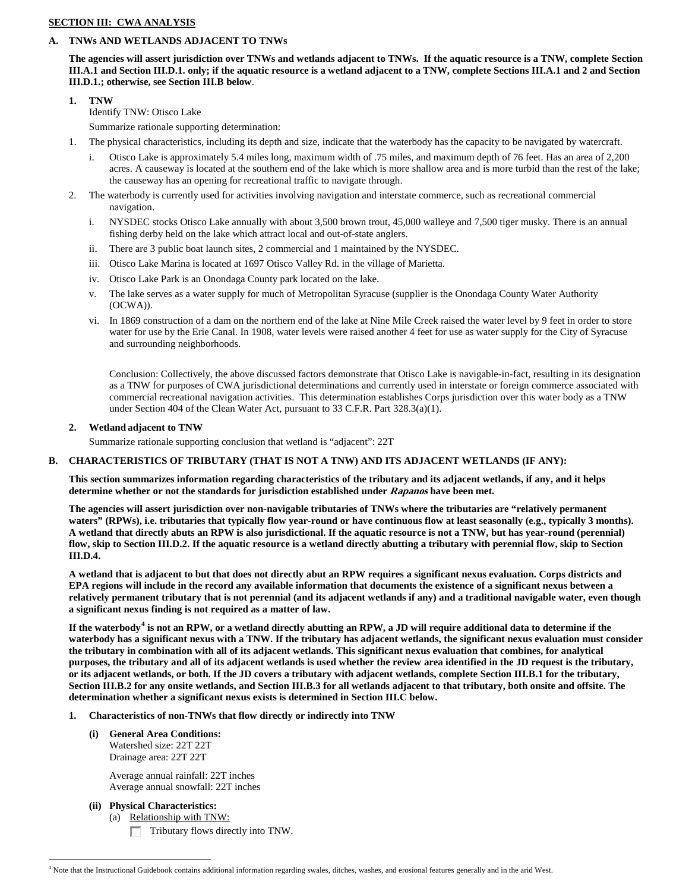## **SECTION III: CWA ANALYSIS**

# **A. TNWs AND WETLANDS ADJACENT TO TNWs**

**The agencies will assert jurisdiction over TNWs and wetlands adjacent to TNWs. If the aquatic resource is a TNW, complete Section III.A.1 and Section III.D.1. only; if the aquatic resource is a wetland adjacent to a TNW, complete Sections III.A.1 and 2 and Section III.D.1.; otherwise, see Section III.B below**.

**1. TNW**  Identify TNW: Otisco Lake

Summarize rationale supporting determination:

- 1. The physical characteristics, including its depth and size, indicate that the waterbody has the capacity to be navigated by watercraft.
	- i. Otisco Lake is approximately 5.4 miles long, maximum width of .75 miles, and maximum depth of 76 feet. Has an area of 2,200 acres. A causeway is located at the southern end of the lake which is more shallow area and is more turbid than the rest of the lake; the causeway has an opening for recreational traffic to navigate through.
- 2. The waterbody is currently used for activities involving navigation and interstate commerce, such as recreational commercial navigation.
	- i. NYSDEC stocks Otisco Lake annually with about 3,500 brown trout, 45,000 walleye and 7,500 tiger musky. There is an annual fishing derby held on the lake which attract local and out-of-state anglers.
	- ii. There are 3 public boat launch sites, 2 commercial and 1 maintained by the NYSDEC.
	- iii. Otisco Lake Marina is located at 1697 Otisco Valley Rd. in the village of Marietta.
	- iv. Otisco Lake Park is an Onondaga County park located on the lake.
	- v. The lake serves as a water supply for much of Metropolitan Syracuse (supplier is the Onondaga County Water Authority (OCWA)).
	- vi. In 1869 construction of a dam on the northern end of the lake at Nine Mile Creek raised the water level by 9 feet in order to store water for use by the Erie Canal. In 1908, water levels were raised another 4 feet for use as water supply for the City of Syracuse and surrounding neighborhoods.

Conclusion: Collectively, the above discussed factors demonstrate that Otisco Lake is navigable-in-fact, resulting in its designation as a TNW for purposes of CWA jurisdictional determinations and currently used in interstate or foreign commerce associated with commercial recreational navigation activities. This determination establishes Corps jurisdiction over this water body as a TNW under Section 404 of the Clean Water Act, pursuant to 33 C.F.R. Part 328.3(a)(1).

## **2. Wetland adjacent to TNW**

Summarize rationale supporting conclusion that wetland is "adjacent": 22T

## **B. CHARACTERISTICS OF TRIBUTARY (THAT IS NOT A TNW) AND ITS ADJACENT WETLANDS (IF ANY):**

**This section summarizes information regarding characteristics of the tributary and its adjacent wetlands, if any, and it helps determine whether or not the standards for jurisdiction established under Rapanos have been met.** 

**The agencies will assert jurisdiction over non-navigable tributaries of TNWs where the tributaries are "relatively permanent waters" (RPWs), i.e. tributaries that typically flow year-round or have continuous flow at least seasonally (e.g., typically 3 months). A wetland that directly abuts an RPW is also jurisdictional. If the aquatic resource is not a TNW, but has year-round (perennial) flow, skip to Section III.D.2. If the aquatic resource is a wetland directly abutting a tributary with perennial flow, skip to Section III.D.4.**

**A wetland that is adjacent to but that does not directly abut an RPW requires a significant nexus evaluation. Corps districts and EPA regions will include in the record any available information that documents the existence of a significant nexus between a relatively permanent tributary that is not perennial (and its adjacent wetlands if any) and a traditional navigable water, even though a significant nexus finding is not required as a matter of law.**

**If the waterbody[4](#page-1-0) is not an RPW, or a wetland directly abutting an RPW, a JD will require additional data to determine if the waterbody has a significant nexus with a TNW. If the tributary has adjacent wetlands, the significant nexus evaluation must consider the tributary in combination with all of its adjacent wetlands. This significant nexus evaluation that combines, for analytical purposes, the tributary and all of its adjacent wetlands is used whether the review area identified in the JD request is the tributary, or its adjacent wetlands, or both. If the JD covers a tributary with adjacent wetlands, complete Section III.B.1 for the tributary, Section III.B.2 for any onsite wetlands, and Section III.B.3 for all wetlands adjacent to that tributary, both onsite and offsite. The determination whether a significant nexus exists is determined in Section III.C below.**

#### **1. Characteristics of non-TNWs that flow directly or indirectly into TNW**

**(i) General Area Conditions:** Watershed size: 22T 22T Drainage area: 22T 22T

> Average annual rainfall: 22T inches Average annual snowfall: 22T inches

- **(ii) Physical Characteristics:** (a) Relationship with TNW:
	- Tributary flows directly into TNW.

<span id="page-1-0"></span> <sup>4</sup> Note that the Instructional Guidebook contains additional information regarding swales, ditches, washes, and erosional features generally and in the arid West.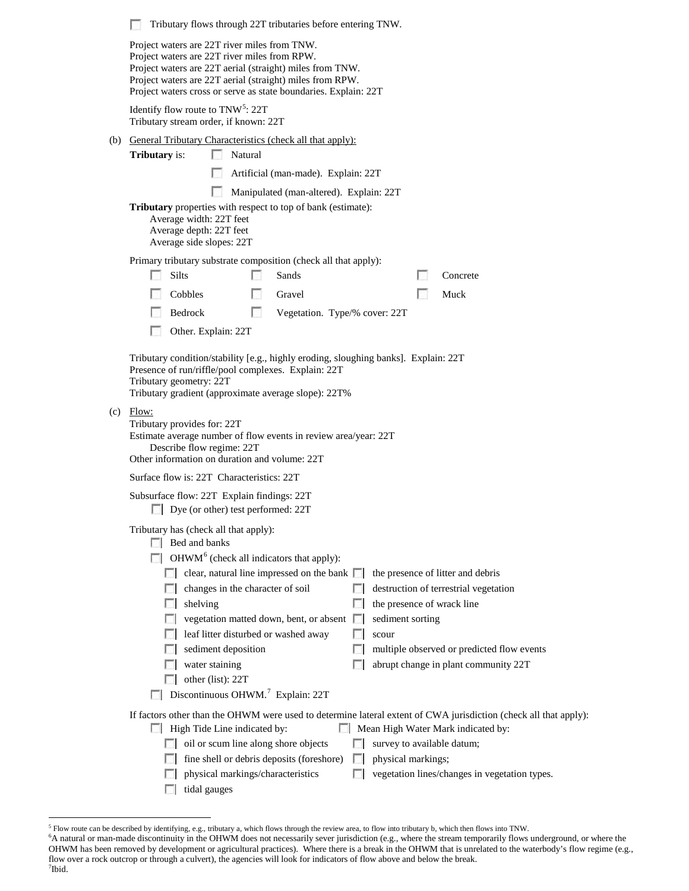| Tributary flows through 22T tributaries before entering TNW.                                                                                                                                                                                                                                                                                                                                                                                |                                                                                                                                                                                         |                                                                                                                                                                                                                |          |                           |  |                                                                                                                                                                                                |  |
|---------------------------------------------------------------------------------------------------------------------------------------------------------------------------------------------------------------------------------------------------------------------------------------------------------------------------------------------------------------------------------------------------------------------------------------------|-----------------------------------------------------------------------------------------------------------------------------------------------------------------------------------------|----------------------------------------------------------------------------------------------------------------------------------------------------------------------------------------------------------------|----------|---------------------------|--|------------------------------------------------------------------------------------------------------------------------------------------------------------------------------------------------|--|
| Project waters are 22T river miles from TNW.<br>Project waters are 22T river miles from RPW.<br>Project waters are 22T aerial (straight) miles from TNW.<br>Project waters are 22T aerial (straight) miles from RPW.<br>Project waters cross or serve as state boundaries. Explain: 22T                                                                                                                                                     |                                                                                                                                                                                         |                                                                                                                                                                                                                |          |                           |  |                                                                                                                                                                                                |  |
| Identify flow route to TNW <sup>5</sup> : 22T<br>Tributary stream order, if known: 22T                                                                                                                                                                                                                                                                                                                                                      |                                                                                                                                                                                         |                                                                                                                                                                                                                |          |                           |  |                                                                                                                                                                                                |  |
| (b) General Tributary Characteristics (check all that apply):                                                                                                                                                                                                                                                                                                                                                                               |                                                                                                                                                                                         |                                                                                                                                                                                                                |          |                           |  |                                                                                                                                                                                                |  |
| <b>Tributary</b> is:                                                                                                                                                                                                                                                                                                                                                                                                                        | Natural<br>L.                                                                                                                                                                           |                                                                                                                                                                                                                |          |                           |  |                                                                                                                                                                                                |  |
|                                                                                                                                                                                                                                                                                                                                                                                                                                             |                                                                                                                                                                                         | Artificial (man-made). Explain: 22T                                                                                                                                                                            |          |                           |  |                                                                                                                                                                                                |  |
| Manipulated (man-altered). Explain: 22T<br>Tributary properties with respect to top of bank (estimate):<br>Average width: 22T feet<br>Average depth: 22T feet<br>Average side slopes: 22T                                                                                                                                                                                                                                                   |                                                                                                                                                                                         |                                                                                                                                                                                                                |          |                           |  |                                                                                                                                                                                                |  |
|                                                                                                                                                                                                                                                                                                                                                                                                                                             |                                                                                                                                                                                         | Primary tributary substrate composition (check all that apply):                                                                                                                                                |          |                           |  |                                                                                                                                                                                                |  |
| Silts                                                                                                                                                                                                                                                                                                                                                                                                                                       |                                                                                                                                                                                         | Sands                                                                                                                                                                                                          |          |                           |  | Concrete                                                                                                                                                                                       |  |
| Cobbles                                                                                                                                                                                                                                                                                                                                                                                                                                     | L.                                                                                                                                                                                      | Gravel                                                                                                                                                                                                         |          |                           |  | Muck                                                                                                                                                                                           |  |
| Bedrock                                                                                                                                                                                                                                                                                                                                                                                                                                     | $\sim$                                                                                                                                                                                  | Vegetation. Type/% cover: 22T                                                                                                                                                                                  |          |                           |  |                                                                                                                                                                                                |  |
| L.                                                                                                                                                                                                                                                                                                                                                                                                                                          | Other. Explain: 22T                                                                                                                                                                     |                                                                                                                                                                                                                |          |                           |  |                                                                                                                                                                                                |  |
| Presence of run/riffle/pool complexes. Explain: 22T<br>Tributary geometry: 22T<br>$(c)$ Flow:<br>Tributary provides for: 22T<br>Other information on duration and volume: 22T                                                                                                                                                                                                                                                               | Describe flow regime: 22T                                                                                                                                                               | Tributary condition/stability [e.g., highly eroding, sloughing banks]. Explain: 22T<br>Tributary gradient (approximate average slope): 22T%<br>Estimate average number of flow events in review area/year: 22T |          |                           |  |                                                                                                                                                                                                |  |
| Surface flow is: 22T Characteristics: 22T                                                                                                                                                                                                                                                                                                                                                                                                   |                                                                                                                                                                                         |                                                                                                                                                                                                                |          |                           |  |                                                                                                                                                                                                |  |
| Subsurface flow: 22T Explain findings: 22T<br>$\Box$ Dye (or other) test performed: 22T                                                                                                                                                                                                                                                                                                                                                     |                                                                                                                                                                                         |                                                                                                                                                                                                                |          |                           |  |                                                                                                                                                                                                |  |
| Tributary has (check all that apply):<br>$\Box$ Bed and banks<br>shelving                                                                                                                                                                                                                                                                                                                                                                   | changes in the character of soil<br>leaf litter disturbed or washed away<br>sediment deposition<br>water staining<br>other (list): 22T<br>Discontinuous OHWM. <sup>7</sup> Explain: 22T | $\Box$ OHWM <sup>6</sup> (check all indicators that apply):<br>clear, natural line impressed on the bank $\Box$<br>vegetation matted down, bent, or absent                                                     | L.<br>L. | sediment sorting<br>scour |  | the presence of litter and debris<br>destruction of terrestrial vegetation<br>the presence of wrack line<br>multiple observed or predicted flow events<br>abrupt change in plant community 22T |  |
| If factors other than the OHWM were used to determine lateral extent of CWA jurisdiction (check all that apply):<br>High Tide Line indicated by:<br>Mean High Water Mark indicated by:<br>oil or scum line along shore objects<br>survey to available datum;<br>fine shell or debris deposits (foreshore)<br>physical markings;<br>L.<br>physical markings/characteristics<br>vegetation lines/changes in vegetation types.<br>tidal gauges |                                                                                                                                                                                         |                                                                                                                                                                                                                |          |                           |  |                                                                                                                                                                                                |  |

<span id="page-2-0"></span><sup>&</sup>lt;sup>5</sup> Flow route can be described by identifying, e.g., tributary a, which flows through the review area, to flow into tributary b, which then flows into TNW.

<span id="page-2-2"></span><span id="page-2-1"></span>A natural or man-made discontinuity in the OHWM does not necessarily sever jurisdiction (e.g., where the stream temporarily flows underground, or where the OHWM has been removed by development or agricultural practices). Where there is a break in the OHWM that is unrelated to the waterbody's flow regime (e.g., flow over a rock outcrop or through a culvert), the agencies will look for indicators of flow above and below the break. 7 Ibid.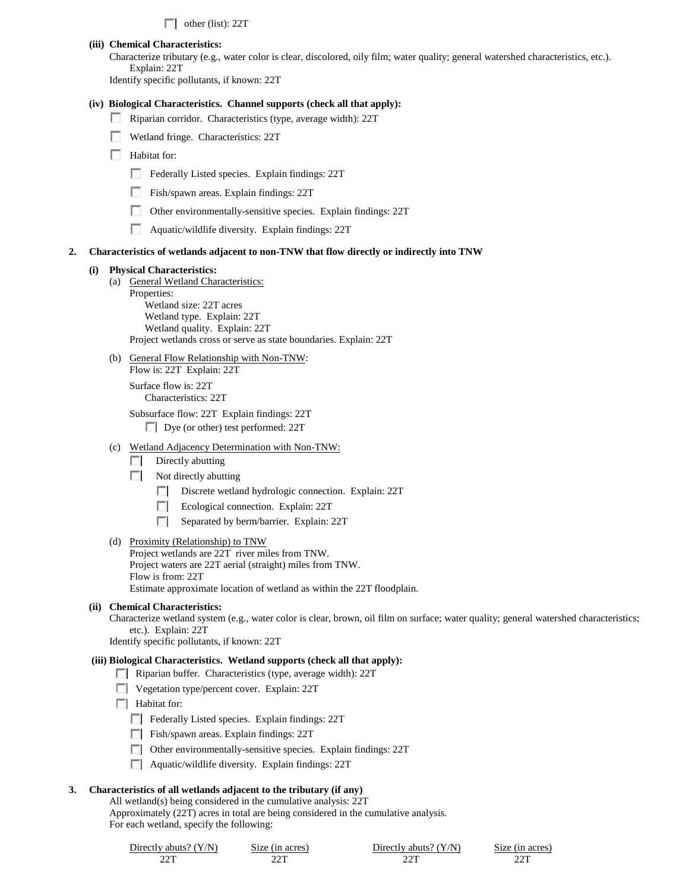$\Box$  other (list): 22T

**(iii) Chemical Characteristics:**

Characterize tributary (e.g., water color is clear, discolored, oily film; water quality; general watershed characteristics, etc.). Explain: 22T

Identify specific pollutants, if known: 22T

#### **(iv) Biological Characteristics. Channel supports (check all that apply):**

- Riparian corridor. Characteristics (type, average width): 22T
- Wetland fringe. Characteristics: 22T
- $\Box$  Habitat for:
	- Federally Listed species. Explain findings: 22T
	- Fish/spawn areas. Explain findings: 22T
	- Other environmentally-sensitive species. Explain findings: 22T
	- **Aquatic/wildlife diversity. Explain findings: 22T**

#### **2. Characteristics of wetlands adjacent to non-TNW that flow directly or indirectly into TNW**

#### **(i) Physical Characteristics:**

(a) General Wetland Characteristics:

Properties: Wetland size: 22T acres Wetland type. Explain: 22T Wetland quality. Explain: 22T Project wetlands cross or serve as state boundaries. Explain: 22T

(b) General Flow Relationship with Non-TNW: Flow is: 22T Explain: 22T

Surface flow is: 22T Characteristics: 22T

Subsurface flow: 22T Explain findings: 22T Dye (or other) test performed: 22T

- (c) Wetland Adjacency Determination with Non-TNW:
	- $\Box$  Directly abutting
	- $\sim$ Not directly abutting
		- **The Contract of the Contract of the Contract of the Contract of the Contract of the Contract of the Contract of the Contract of the Contract of the Contract of the Contract of the Contract of the Contract of the Contract** Discrete wetland hydrologic connection. Explain: 22T
		- Ecological connection. Explain: 22T
		- E. Separated by berm/barrier. Explain: 22T
- (d) Proximity (Relationship) to TNW Project wetlands are 22T river miles from TNW. Project waters are 22T aerial (straight) miles from TNW. Flow is from: 22T Estimate approximate location of wetland as within the 22T floodplain.

#### **(ii) Chemical Characteristics:**

Characterize wetland system (e.g., water color is clear, brown, oil film on surface; water quality; general watershed characteristics; etc.). Explain: 22T

Identify specific pollutants, if known: 22T

# **(iii) Biological Characteristics. Wetland supports (check all that apply):**

- **Riparian buffer.** Characteristics (type, average width): 22T
- **Vegetation type/percent cover. Explain: 22T**
- **Habitat for:** 
	- Federally Listed species. Explain findings: 22T
	- Fish/spawn areas. Explain findings: 22T
	- Other environmentally-sensitive species. Explain findings: 22T
	- **Aquatic/wildlife diversity. Explain findings: 22T**

#### **3. Characteristics of all wetlands adjacent to the tributary (if any)**

All wetland(s) being considered in the cumulative analysis: 22T Approximately (22T) acres in total are being considered in the cumulative analysis. For each wetland, specify the following:

| Directly abuts? $(Y/N)$ | Size (in acres) | Directly abuts? $(Y/N)$ | Size (in acres) |
|-------------------------|-----------------|-------------------------|-----------------|
| דרר                     | ገገጥ             | 22.1                    | 22T             |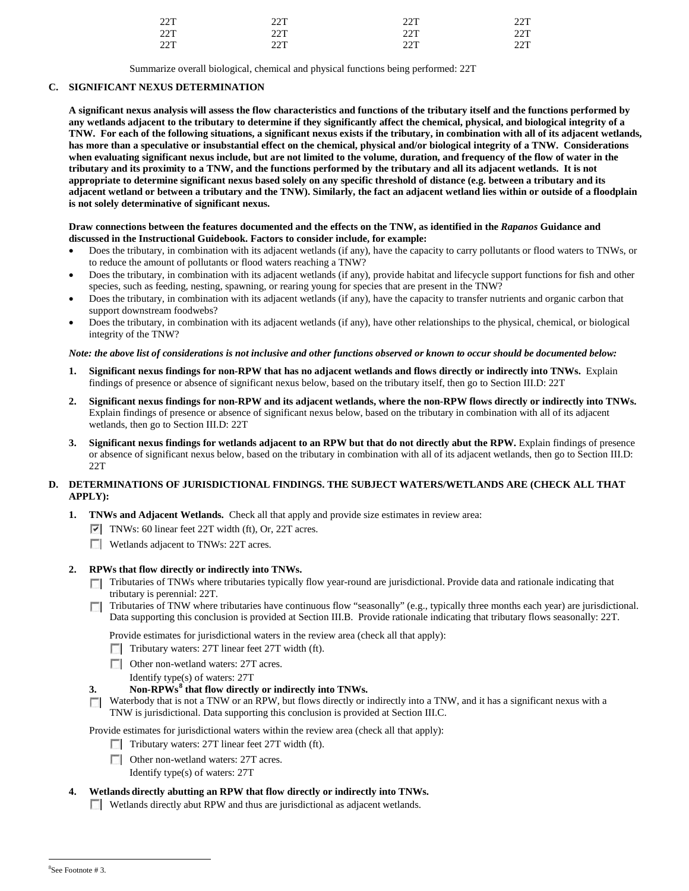| 22T | 22T | 22T | 22T |
|-----|-----|-----|-----|
| 22T | 22T | 22T | 22T |
| 22T | 22T | 22T | 22T |

Summarize overall biological, chemical and physical functions being performed: 22T

# **C. SIGNIFICANT NEXUS DETERMINATION**

**A significant nexus analysis will assess the flow characteristics and functions of the tributary itself and the functions performed by any wetlands adjacent to the tributary to determine if they significantly affect the chemical, physical, and biological integrity of a TNW. For each of the following situations, a significant nexus exists if the tributary, in combination with all of its adjacent wetlands, has more than a speculative or insubstantial effect on the chemical, physical and/or biological integrity of a TNW. Considerations when evaluating significant nexus include, but are not limited to the volume, duration, and frequency of the flow of water in the tributary and its proximity to a TNW, and the functions performed by the tributary and all its adjacent wetlands. It is not appropriate to determine significant nexus based solely on any specific threshold of distance (e.g. between a tributary and its adjacent wetland or between a tributary and the TNW). Similarly, the fact an adjacent wetland lies within or outside of a floodplain is not solely determinative of significant nexus.** 

#### **Draw connections between the features documented and the effects on the TNW, as identified in the** *Rapanos* **Guidance and discussed in the Instructional Guidebook. Factors to consider include, for example:**

- Does the tributary, in combination with its adjacent wetlands (if any), have the capacity to carry pollutants or flood waters to TNWs, or to reduce the amount of pollutants or flood waters reaching a TNW?
- Does the tributary, in combination with its adjacent wetlands (if any), provide habitat and lifecycle support functions for fish and other species, such as feeding, nesting, spawning, or rearing young for species that are present in the TNW?
- Does the tributary, in combination with its adjacent wetlands (if any), have the capacity to transfer nutrients and organic carbon that support downstream foodwebs?
- Does the tributary, in combination with its adjacent wetlands (if any), have other relationships to the physical, chemical, or biological integrity of the TNW?

## *Note: the above list of considerations is not inclusive and other functions observed or known to occur should be documented below:*

- **1. Significant nexus findings for non-RPW that has no adjacent wetlands and flows directly or indirectly into TNWs.** Explain findings of presence or absence of significant nexus below, based on the tributary itself, then go to Section III.D: 22T
- **2. Significant nexus findings for non-RPW and its adjacent wetlands, where the non-RPW flows directly or indirectly into TNWs.**  Explain findings of presence or absence of significant nexus below, based on the tributary in combination with all of its adjacent wetlands, then go to Section III.D: 22T
- **3. Significant nexus findings for wetlands adjacent to an RPW but that do not directly abut the RPW.** Explain findings of presence or absence of significant nexus below, based on the tributary in combination with all of its adjacent wetlands, then go to Section III.D: 22T

## **D. DETERMINATIONS OF JURISDICTIONAL FINDINGS. THE SUBJECT WATERS/WETLANDS ARE (CHECK ALL THAT APPLY):**

- **1. TNWs and Adjacent Wetlands.** Check all that apply and provide size estimates in review area:
	- TNWs: 60 linear feet 22T width (ft), Or, 22T acres.
	- Wetlands adjacent to TNWs: 22T acres.

## **2. RPWs that flow directly or indirectly into TNWs.**

- Tributaries of TNWs where tributaries typically flow year-round are jurisdictional. Provide data and rationale indicating that tributary is perennial: 22T.
- Tributaries of TNW where tributaries have continuous flow "seasonally" (e.g., typically three months each year) are jurisdictional.  $\Box$ Data supporting this conclusion is provided at Section III.B. Provide rationale indicating that tributary flows seasonally: 22T.

Provide estimates for jurisdictional waters in the review area (check all that apply):

- Tributary waters: 27T linear feet 27T width (ft).
- **Other non-wetland waters: 27T acres.**

Identify type(s) of waters: 27T

- **3. Non-RPWs[8](#page-4-0) that flow directly or indirectly into TNWs.**
- Waterbody that is not a TNW or an RPW, but flows directly or indirectly into a TNW, and it has a significant nexus with a п TNW is jurisdictional. Data supporting this conclusion is provided at Section III.C.

Provide estimates for jurisdictional waters within the review area (check all that apply):

- Tributary waters: 27T linear feet 27T width (ft).
- Other non-wetland waters: 27T acres.
	- Identify type(s) of waters: 27T
- **4. Wetlands directly abutting an RPW that flow directly or indirectly into TNWs.**

**Wetlands directly abut RPW and thus are jurisdictional as adjacent wetlands.** 

<span id="page-4-0"></span> $\frac{1}{8}$ See Footnote # 3.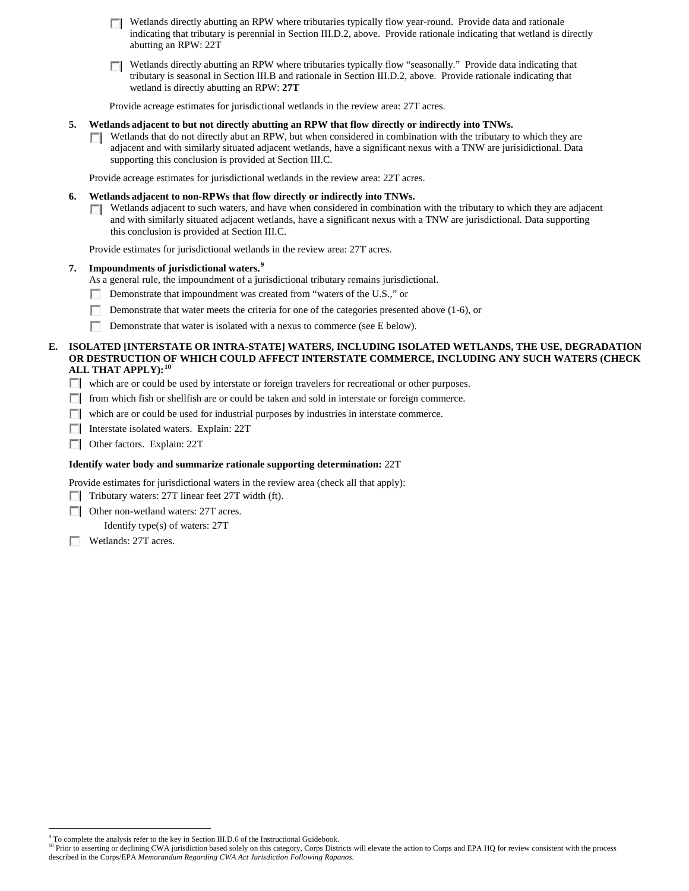- Wetlands directly abutting an RPW where tributaries typically flow year-round. Provide data and rationale **TT** indicating that tributary is perennial in Section III.D.2, above. Provide rationale indicating that wetland is directly abutting an RPW: 22T
- Wetlands directly abutting an RPW where tributaries typically flow "seasonally." Provide data indicating that  $\Box$ tributary is seasonal in Section III.B and rationale in Section III.D.2, above. Provide rationale indicating that wetland is directly abutting an RPW: **27T**

Provide acreage estimates for jurisdictional wetlands in the review area: 27T acres.

## **5. Wetlands adjacent to but not directly abutting an RPW that flow directly or indirectly into TNWs.**

 $\Box$  Wetlands that do not directly abut an RPW, but when considered in combination with the tributary to which they are adjacent and with similarly situated adjacent wetlands, have a significant nexus with a TNW are jurisidictional. Data supporting this conclusion is provided at Section III.C.

Provide acreage estimates for jurisdictional wetlands in the review area: 22T acres.

- **6. Wetlands adjacent to non-RPWs that flow directly or indirectly into TNWs.** 
	- **Netlands adjacent to such waters, and have when considered in combination with the tributary to which they are adjacent** and with similarly situated adjacent wetlands, have a significant nexus with a TNW are jurisdictional. Data supporting this conclusion is provided at Section III.C.

Provide estimates for jurisdictional wetlands in the review area: 27T acres.

## **7. Impoundments of jurisdictional waters. [9](#page-5-0)**

As a general rule, the impoundment of a jurisdictional tributary remains jurisdictional.

- Demonstrate that impoundment was created from "waters of the U.S.," or n.
- Demonstrate that water meets the criteria for one of the categories presented above (1-6), or  $\sim$
- $\sim$ Demonstrate that water is isolated with a nexus to commerce (see E below).

## **E. ISOLATED [INTERSTATE OR INTRA-STATE] WATERS, INCLUDING ISOLATED WETLANDS, THE USE, DEGRADATION OR DESTRUCTION OF WHICH COULD AFFECT INTERSTATE COMMERCE, INCLUDING ANY SUCH WATERS (CHECK ALL THAT APPLY):[10](#page-5-1)**

which are or could be used by interstate or foreign travelers for recreational or other purposes.

- from which fish or shellfish are or could be taken and sold in interstate or foreign commerce.
- which are or could be used for industrial purposes by industries in interstate commerce.
- **Interstate isolated waters. Explain: 22T**
- Other factors.Explain: 22T

## **Identify water body and summarize rationale supporting determination:** 22T

Provide estimates for jurisdictional waters in the review area (check all that apply):

- Tributary waters: 27T linear feet 27T width (ft).
- □ Other non-wetland waters: 27T acres.

Identify type(s) of waters: 27T

Wetlands: 27T acres.

To complete the analysis refer to the key in Section III.D.6 of the Instructional Guidebook.

<span id="page-5-1"></span><span id="page-5-0"></span><sup>&</sup>lt;sup>10</sup> Prior to asserting or declining CWA jurisdiction based solely on this category, Corps Districts will elevate the action to Corps and EPA HQ for review consistent with the process described in the Corps/EPA *Memorandum Regarding CWA Act Jurisdiction Following Rapanos.*